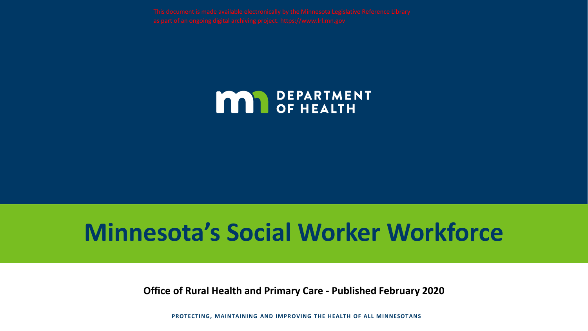

# **Minnesota's Social Worker Workforce**

**Office of Rural Health and Primary Care - Published February 2020**

**PROTECTING, MAINTAINING AND IMPROVING THE HEALTH OF ALL MINNESOTANS**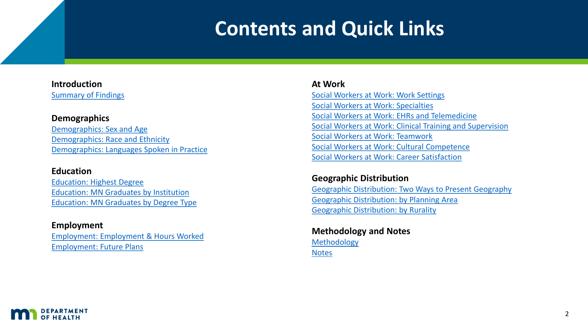## **Contents and Quick Links**

#### **Introduction** [Summary of Findings](#page-2-0)

#### **Demographics**

[Demographics: Sex and Age](#page-3-0) [Demographics: Race and Ethnicity](#page-4-0) [Demographics: Languages Spoken in Practice](#page-5-0)

#### **Education**

[Education: Highest Degree](#page-6-0) [Education: MN Graduates by Institution](#page-7-0) [Education: MN Graduates by Degree](#page-8-0) Type

#### **Employment**

[Employment: Employment & Hours Worked](#page-9-0) [Employment: Future Plans](#page-10-0)

#### **At Work**

Social Workers [at Work: Work Settings](#page-11-0) [Social Workers at Work: Specialties](#page-12-0) Social Workers at Work: EHRs and Telemedicine [Social Workers at Work: Clinical Training and Supervision](#page-13-0) Social Workers [at Work: Teamwork](#page-15-0) Social Workers [at Work: Cultural Competence](#page-16-0) Social Workers [at Work: Career Satisfaction](#page-17-0)

#### **Geographic Distribution**

[Geographic Distribution: Two Ways to Present Geography](#page-18-0) [Geographic Distribution: by Planning Area](#page-19-0) [Geographic Distribution: by Rurality](#page-20-0)

**Methodology and Notes** [Methodology](#page-21-0) **[Notes](#page-22-0)** 

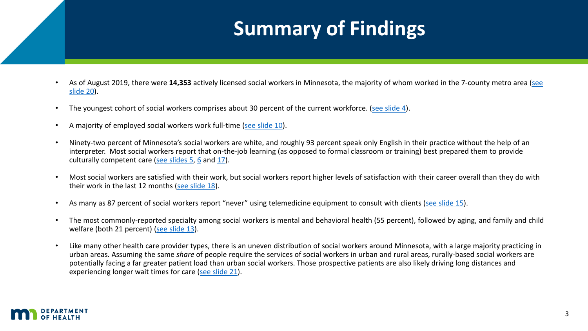# **Summary of Findings**

- <span id="page-2-0"></span>• As of August 2019, there were **14,353** [actively licensed social workers in Minnesota, the majority of whom worked in the 7-county metro area \(see](#page-19-0)  slide 20).
- The youngest cohort of social workers comprises about 30 percent of the current workforce. [\(see slide 4\)](#page-3-0).
- A majority of employed social workers work full-time [\(see slide 10\)](#page-9-0).
- Ninety-two percent of Minnesota's social workers are white, and roughly 93 percent speak only English in their practice without the help of an interpreter. Most social workers report that on-the-job learning (as opposed to formal classroom or training) best prepared them to provide culturally competent care [\(see slides 5,](#page-6-0) [6](#page-7-0) and [17\)](#page-16-0).
- Most social workers are satisfied with their work, but social workers report higher levels of satisfaction with their career overall than they do with their work in the last 12 months [\(see slide 18](#page-17-0)).
- As many as 87 percent of social workers report "never" using telemedicine equipment to consult with clients [\(see slide 15](#page-14-0)).
- The most commonly-reported specialty among social workers is mental and behavioral health (55 percent), followed by aging, and family and child welfare (both 21 percent) [\(see slide 13\)](#page-12-0).
- Like many other health care provider types, there is an uneven distribution of social workers around Minnesota, with a large majority practicing in urban areas. Assuming the same *share* of people require the services of social workers in urban and rural areas, rurally-based social workers are potentially facing a far greater patient load than urban social workers. Those prospective patients are also likely driving long distances and experiencing longer wait times for care [\(see slide 21\)](#page-20-0).

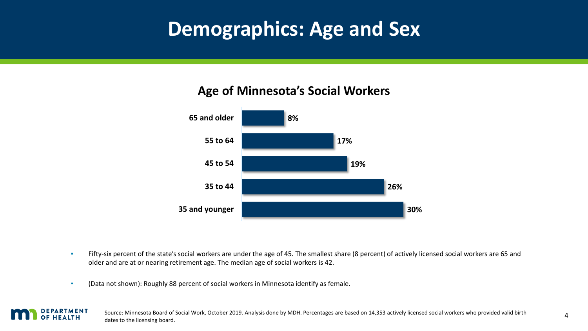## <span id="page-3-0"></span>**Demographics: Age and Sex**

### **Age of Minnesota's Social Workers**



- Fifty-six percent of the state's social workers are under the age of 45. The smallest share (8 percent) of actively licensed social workers are 65 and older and are at or nearing retirement age. The median age of social workers is 42.
- (Data not shown): Roughly 88 percent of social workers in Minnesota identify as female.

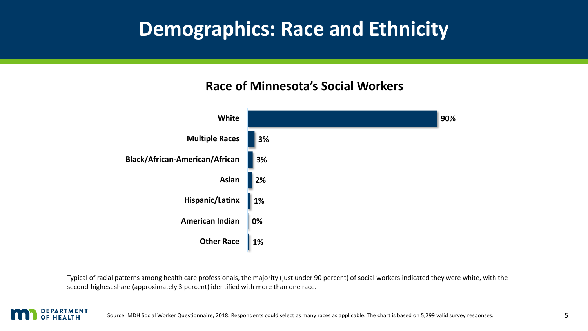## <span id="page-4-0"></span>**Demographics: Race and Ethnicity**

### **Race of Minnesota's Social Workers**



Typical of racial patterns among health care professionals, the majority (just under 90 percent) of social workers indicated they were white, with the second-highest share (approximately 3 percent) identified with more than one race.

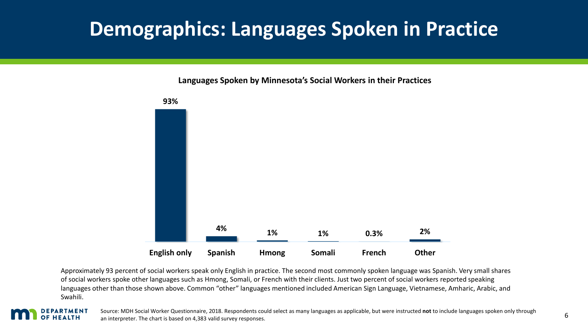## <span id="page-5-0"></span>**Demographics: Languages Spoken in Practice**

**Languages Spoken by Minnesota's Social Workers in their Practices**



Approximately 93 percent of social workers speak only English in practice. The second most commonly spoken language was Spanish. Very small shares of social workers spoke other languages such as Hmong, Somali, or French with their clients. Just two percent of social workers reported speaking languages other than those shown above. Common "other" languages mentioned included American Sign Language, Vietnamese, Amharic, Arabic, and Swahili.

#### EPARTMENT HEALTH

Source: MDH Social Worker Questionnaire, 2018. Respondents could select as many languages as applicable, but were instructed **not** to include languages spoken only through an interpreter. The chart is based on 4,383 valid survey responses.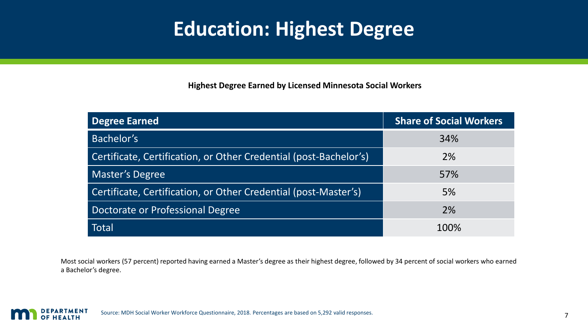## **Education: Highest Degree**

**Highest Degree Earned by Licensed Minnesota Social Workers**

<span id="page-6-0"></span>

| Degree Earned                                                     | <b>Share of Social Workers</b> |
|-------------------------------------------------------------------|--------------------------------|
| Bachelor's                                                        | 34%                            |
| Certificate, Certification, or Other Credential (post-Bachelor's) | 2%                             |
| <b>Master's Degree</b>                                            | 57%                            |
| Certificate, Certification, or Other Credential (post-Master's)   | 5%                             |
| Doctorate or Professional Degree                                  | 2%                             |
| <b>Total</b>                                                      | 100%                           |

Most social workers (57 percent) reported having earned a Master's degree as their highest degree, followed by 34 percent of social workers who earned a Bachelor's degree.

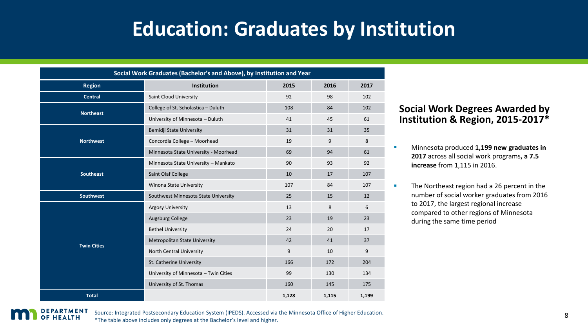## **Education: Graduates by Institution**

<span id="page-7-0"></span>

| Social Work Graduates (Bachelor's and Above), by Institution and Year |                                       |       |       |       |  |  |
|-----------------------------------------------------------------------|---------------------------------------|-------|-------|-------|--|--|
| <b>Region</b>                                                         | Institution                           | 2015  | 2016  | 2017  |  |  |
| <b>Central</b>                                                        | Saint Cloud University                | 92    | 98    | 102   |  |  |
| <b>Northeast</b>                                                      | College of St. Scholastica - Duluth   | 108   | 84    | 102   |  |  |
|                                                                       | University of Minnesota - Duluth      | 41    | 45    | 61    |  |  |
| <b>Northwest</b>                                                      | Bemidji State University              | 31    | 31    | 35    |  |  |
|                                                                       | Concordia College - Moorhead          | 19    | 9     | 8     |  |  |
|                                                                       | Minnesota State University - Moorhead | 69    | 94    | 61    |  |  |
| <b>Southeast</b>                                                      | Minnesota State University - Mankato  | 90    | 93    | 92    |  |  |
|                                                                       | Saint Olaf College                    | 10    | 17    | 107   |  |  |
|                                                                       | Winona State University               | 107   | 84    | 107   |  |  |
| Southwest                                                             | Southwest Minnesota State University  | 25    | 15    | 12    |  |  |
| <b>Twin Cities</b>                                                    | <b>Argosy University</b>              | 13    | 8     | 6     |  |  |
|                                                                       | Augsburg College                      | 23    | 19    | 23    |  |  |
|                                                                       | <b>Bethel University</b>              | 24    | 20    | 17    |  |  |
|                                                                       | Metropolitan State University         | 42    | 41    | 37    |  |  |
|                                                                       | North Central University              | 9     | 10    | 9     |  |  |
|                                                                       | St. Catherine University              | 166   | 172   | 204   |  |  |
|                                                                       | University of Minnesota - Twin Cities | 99    | 130   | 134   |  |  |
|                                                                       | University of St. Thomas              | 160   | 145   | 175   |  |  |
| <b>Total</b>                                                          |                                       | 1,128 | 1,115 | 1,199 |  |  |

#### **Social Work Degrees Awarded by Institution & Region, 2015-2017\***

- **E** Minnesota produced **1,199 new graduates in 2017** across all social work programs**, a 7.5 increase** from 1,115 in 2016.
- **The Northeast region had a 26 percent in the** number of social worker graduates from 2016 to 2017, the largest regional increase compared to other regions of Minnesota during the same time period



Source: Integrated Postsecondary Education System (IPEDS). Accessed via the Minnesota Office of Higher Education. \*The table above includes only degrees at the Bachelor's level and higher.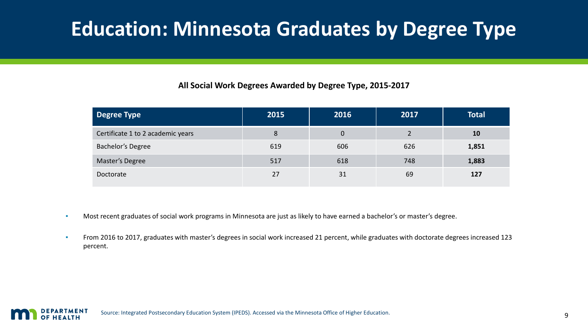## <span id="page-8-0"></span>**Education: Minnesota Graduates by Degree Type**

#### **All Social Work Degrees Awarded by Degree Type, 2015-2017**

| Degree Type                       | 2015 | 2016 | 2017 | <b>Total</b> |
|-----------------------------------|------|------|------|--------------|
| Certificate 1 to 2 academic years | 8    | 0    |      | <b>10</b>    |
| <b>Bachelor's Degree</b>          | 619  | 606  | 626  | 1,851        |
| Master's Degree                   | 517  | 618  | 748  | 1,883        |
| Doctorate                         | 27   | 31   | 69   | 127          |

- Most recent graduates of social work programs in Minnesota are just as likely to have earned a bachelor's or master's degree.
- **From 2016 to 2017, graduates with master's degrees in social work increased 21 percent, while graduates with doctorate degrees increased 123** percent.

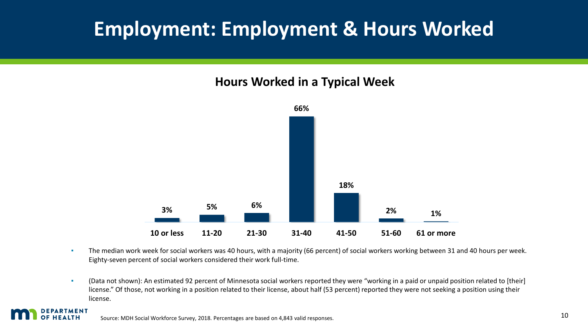## <span id="page-9-0"></span>**Employment: Employment & Hours Worked**

### **Hours Worked in a Typical Week**



- **The median work week for social workers was 40 hours, with a majority (66 percent) of social workers working between 31 and 40 hours per week.** Eighty-seven percent of social workers considered their work full-time.
- (Data not shown): An estimated 92 percent of Minnesota social workers reported they were "working in a paid or unpaid position related to [their] license." Of those, not working in a position related to their license, about half (53 percent) reported they were not seeking a position using their license.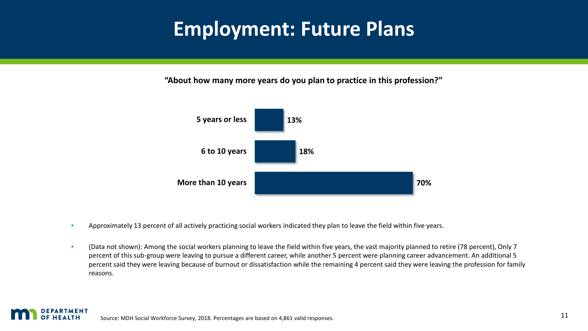## <span id="page-10-0"></span>**Employment: Future Plans**

**"About how many more years do you plan to practice in this profession?"**



- **Approximately 13 percent of all actively practicing social workers indicated they plan to leave the field within five years.**
- (Data not shown): Among the social workers planning to leave the field within five years, the vast majority planned to retire (78 percent), Only 7 percent of this sub-group were leaving to pursue a different career, while another 5 percent were planning career advancement. An additional 5 percent said they were leaving because of burnout or dissatisfaction while the remaining 4 percent said they were leaving the profession for family reasons.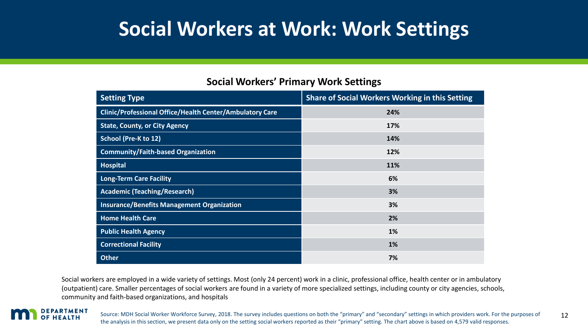## <span id="page-11-0"></span>**Social Workers at Work: Work Settings**

| <b>Setting Type</b>                                      | <b>Share of Social Workers Working in this Setting</b> |
|----------------------------------------------------------|--------------------------------------------------------|
| Clinic/Professional Office/Health Center/Ambulatory Care | 24%                                                    |
| <b>State, County, or City Agency</b>                     | 17%                                                    |
| <b>School (Pre-K to 12)</b>                              | 14%                                                    |
| <b>Community/Faith-based Organization</b>                | 12%                                                    |
| <b>Hospital</b>                                          | 11%                                                    |
| <b>Long-Term Care Facility</b>                           | 6%                                                     |
| <b>Academic (Teaching/Research)</b>                      | 3%                                                     |
| <b>Insurance/Benefits Management Organization</b>        | 3%                                                     |
| <b>Home Health Care</b>                                  | 2%                                                     |
| <b>Public Health Agency</b>                              | 1%                                                     |
| <b>Correctional Facility</b>                             | 1%                                                     |
| <b>Other</b>                                             | 7%                                                     |

#### **Social Workers' Primary Work Settings**

Social workers are employed in a wide variety of settings. Most (only 24 percent) work in a clinic, professional office, health center or in ambulatory (outpatient) care. Smaller percentages of social workers are found in a variety of more specialized settings, including county or city agencies, schools, community and faith-based organizations, and hospitals

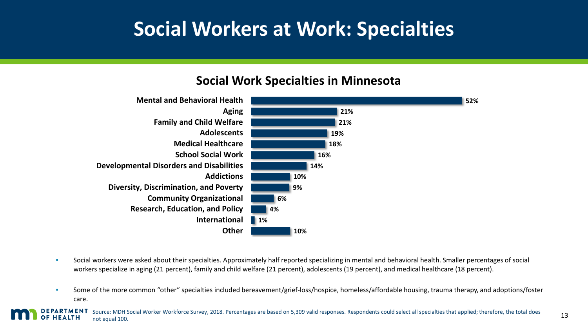## **Social Workers at Work: Specialties**

### **Social Work Specialties in Minnesota**

<span id="page-12-0"></span>

- Social workers were asked about their specialties. Approximately half reported specializing in mental and behavioral health. Smaller percentages of social workers specialize in aging (21 percent), family and child welfare (21 percent), adolescents (19 percent), and medical healthcare (18 percent).
- **EXECT** Some of the more common "other" specialties included bereavement/grief-loss/hospice, homeless/affordable housing, trauma therapy, and adoptions/foster care.

Source: MDH Social Worker Workforce Survey, 2018. Percentages are based on 5,309 valid responses. Respondents could select all specialties that applied; therefore, the total does PARTMENT not equal 100.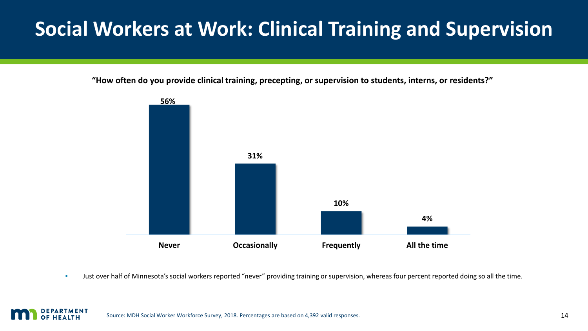# <span id="page-13-0"></span>**Social Workers at Work: Clinical Training and Supervision**

**"How often do you provide clinical training, precepting, or supervision to students, interns, or residents?"**



**·** Just over half of Minnesota's social workers reported "never" providing training or supervision, whereas four percent reported doing so all the time.

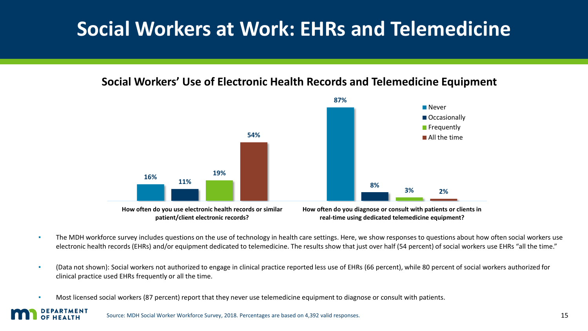## <span id="page-14-0"></span>**Social Workers at Work: EHRs and Telemedicine**

### **Social Workers' Use of Electronic Health Records and Telemedicine Equipment**



- The MDH workforce survey includes questions on the use of technology in health care settings. Here, we show responses to questions about how often social workers use electronic health records (EHRs) and/or equipment dedicated to telemedicine. The results show that just over half (54 percent) of social workers use EHRs "all the time."
- (Data not shown): Social workers not authorized to engage in clinical practice reported less use of EHRs (66 percent), while 80 percent of social workers authorized for clinical practice used EHRs frequently or all the time.
- Most licensed social workers (87 percent) report that they never use telemedicine equipment to diagnose or consult with patients.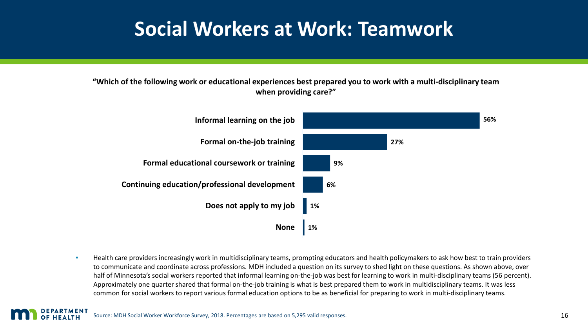### **Social Workers at Work: Teamwork**

#### <span id="page-15-0"></span>**"Which of the following work or educational experiences best prepared you to work with a multi-disciplinary team when providing care?"**



▪ Health care providers increasingly work in multidisciplinary teams, prompting educators and health policymakers to ask how best to train providers to communicate and coordinate across professions. MDH included a question on its survey to shed light on these questions. As shown above, over half of Minnesota's social workers reported that informal learning on-the-job was best for learning to work in multi-disciplinary teams (56 percent). Approximately one quarter shared that formal on-the-job training is what is best prepared them to work in multidisciplinary teams. It was less common for social workers to report various formal education options to be as beneficial for preparing to work in multi-disciplinary teams.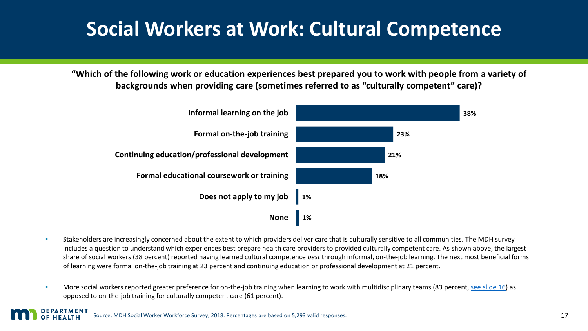## <span id="page-16-0"></span>**Social Workers at Work: Cultural Competence**

**"Which of the following work or education experiences best prepared you to work with people from a variety of backgrounds when providing care (sometimes referred to as "culturally competent" care)?**



- Stakeholders are increasingly concerned about the extent to which providers deliver care that is culturally sensitive to all communities. The MDH survey includes a question to understand which experiences best prepare health care providers to provided culturally competent care. As shown above, the largest share of social workers (38 percent) reported having learned cultural competence *best* through informal, on-the-job learning. The next most beneficial forms of learning were formal on-the-job training at 23 percent and continuing education or professional development at 21 percent.
- More social workers reported greater preference for on-the-job training when learning to work with multidisciplinary teams (83 percent, [see slide 16\)](#page-15-0) as opposed to on-the-job training for culturally competent care (61 percent).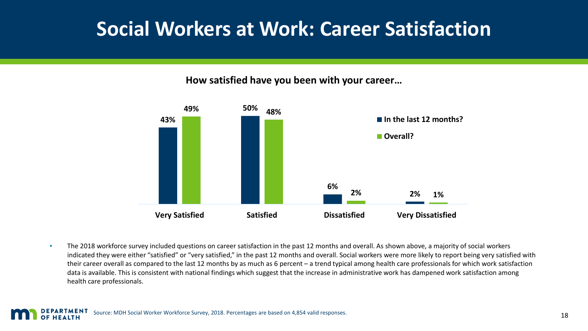## <span id="page-17-0"></span>**Social Workers at Work: Career Satisfaction**

**How satisfied have you been with your career…**



**• The 2018 workforce survey included questions on career satisfaction in the past 12 months and overall. As shown above, a majority of social workers** indicated they were either "satisfied" or "very satisfied," in the past 12 months and overall. Social workers were more likely to report being very satisfied with their career overall as compared to the last 12 months by as much as 6 percent – a trend typical among health care professionals for which work satisfaction data is available. This is consistent with national findings which suggest that the increase in administrative work has dampened work satisfaction among health care professionals.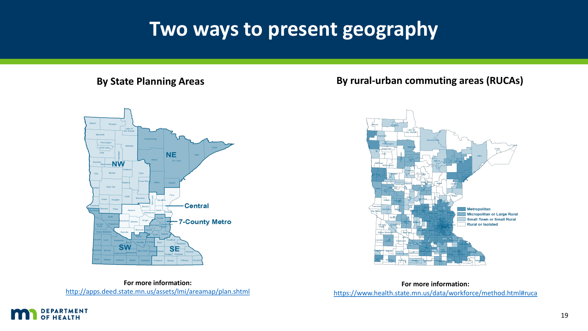### **Two ways to present geography**

#### <span id="page-18-0"></span>**By State Planning Areas**



### **By rural-urban commuting areas (RUCAs)**



**For more information:**  <http://apps.deed.state.mn.us/assets/lmi/areamap/plan.shtml>

**For more information:**  <https://www.health.state.mn.us/data/workforce/method.html#ruca>

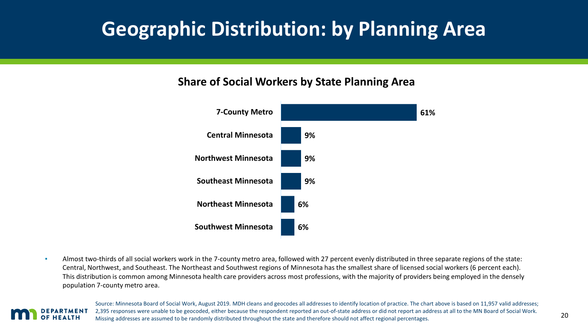## <span id="page-19-0"></span>**Geographic Distribution: by Planning Area**

### **Share of Social Workers by State Planning Area**



**EXECT** Almost two-thirds of all social workers work in the 7-county metro area, followed with 27 percent evenly distributed in three separate regions of the state: Central, Northwest, and Southeast. The Northeast and Southwest regions of Minnesota has the smallest share of licensed social workers (6 percent each). This distribution is common among Minnesota health care providers across most professions, with the majority of providers being employed in the densely population 7-county metro area.



Source: Minnesota Board of Social Work, August 2019. MDH cleans and geocodes all addresses to identify location of practice. The chart above is based on 11,957 valid addresses; 2,395 responses were unable to be geocoded, either because the respondent reported an out-of-state address or did not report an address at all to the MN Board of Social Work. Missing addresses are assumed to be randomly distributed throughout the state and therefore should not affect regional percentages.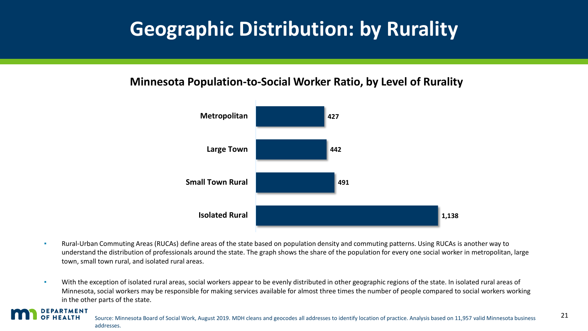## <span id="page-20-0"></span>**Geographic Distribution: by Rurality**

### **Minnesota Population-to-Social Worker Ratio, by Level of Rurality**



**• Rural-Urban Commuting Areas (RUCAs) define areas of the state based on population density and commuting patterns. Using RUCAs is another way to** understand the distribution of professionals around the state. The graph shows the share of the population for every one social worker in metropolitan, large town, small town rural, and isolated rural areas.

**•** With the exception of isolated rural areas, social workers appear to be evenly distributed in other geographic regions of the state. In isolated rural areas of Minnesota, social workers may be responsible for making services available for almost three times the number of people compared to social workers working in the other parts of the state.

### PARTMENT

Source: Minnesota Board of Social Work, August 2019. MDH cleans and geocodes all addresses to identify location of practice. Analysis based on 11,957 valid Minnesota business addresses.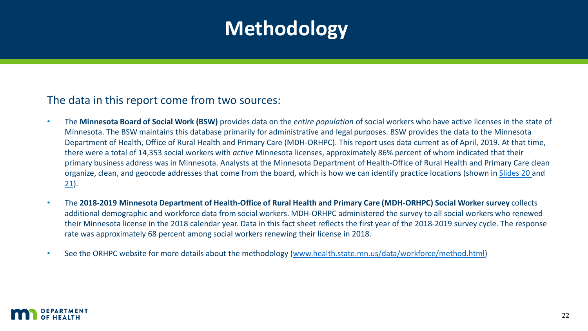# **Methodology**

### <span id="page-21-0"></span>The data in this report come from two sources:

- The **Minnesota Board of Social Work (BSW)** provides data on the *entire population* of social workers who have active licenses in the state of Minnesota. The BSW maintains this database primarily for administrative and legal purposes. BSW provides the data to the Minnesota Department of Health, Office of Rural Health and Primary Care (MDH-ORHPC). This report uses data current as of April, 2019. At that time, there were a total of 14,353 social workers with *active* Minnesota licenses, approximately 86% percent of whom indicated that their primary business address was in Minnesota. Analysts at the Minnesota Department of Health-Office of Rural Health and Primary Care clean organize, clean, and geocode addresses that come from the board, which is how we can identify practice locations (shown in [Slides 20](#page-19-0) and  $21$ ).
- The **2018-2019 Minnesota Department of Health-Office of Rural Health and Primary Care (MDH-ORHPC) Social Worker survey** collects additional demographic and workforce data from social workers. MDH-ORHPC administered the survey to all social workers who renewed their Minnesota license in the 2018 calendar year. Data in this fact sheet reflects the first year of the 2018-2019 survey cycle. The response rate was approximately 68 percent among social workers renewing their license in 2018.
- See the ORHPC website for more details about the methodology [\(www.health.state.mn.us/data/workforce/method.html](http://www.health.state.mn.us/data/workforce/method.html))